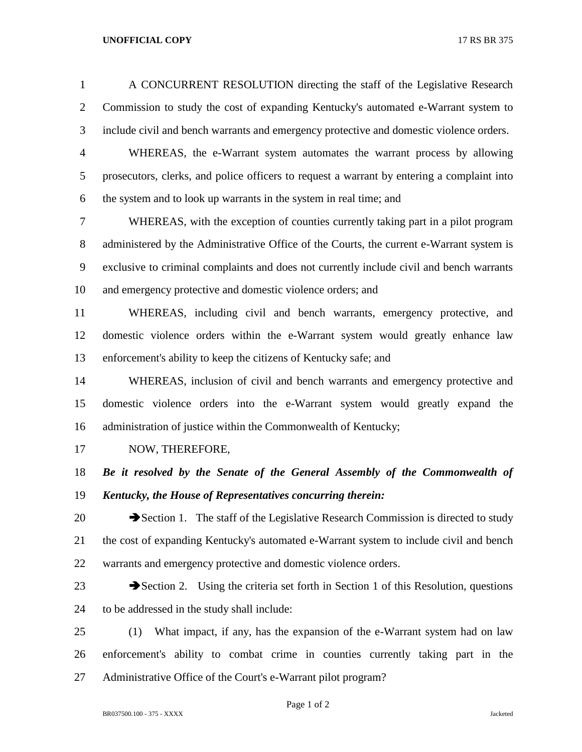## **UNOFFICIAL COPY** 17 RS BR 375

 A CONCURRENT RESOLUTION directing the staff of the Legislative Research Commission to study the cost of expanding Kentucky's automated e-Warrant system to include civil and bench warrants and emergency protective and domestic violence orders.

 WHEREAS, the e-Warrant system automates the warrant process by allowing prosecutors, clerks, and police officers to request a warrant by entering a complaint into the system and to look up warrants in the system in real time; and

 WHEREAS, with the exception of counties currently taking part in a pilot program 8 administered by the Administrative Office of the Courts, the current e-Warrant system is exclusive to criminal complaints and does not currently include civil and bench warrants and emergency protective and domestic violence orders; and

 WHEREAS, including civil and bench warrants, emergency protective, and domestic violence orders within the e-Warrant system would greatly enhance law enforcement's ability to keep the citizens of Kentucky safe; and

 WHEREAS, inclusion of civil and bench warrants and emergency protective and domestic violence orders into the e-Warrant system would greatly expand the administration of justice within the Commonwealth of Kentucky;

17 NOW, THEREFORE,

 *Be it resolved by the Senate of the General Assembly of the Commonwealth of Kentucky, the House of Representatives concurring therein:*

20 Section 1. The staff of the Legislative Research Commission is directed to study the cost of expanding Kentucky's automated e-Warrant system to include civil and bench warrants and emergency protective and domestic violence orders.

23 Section 2. Using the criteria set forth in Section 1 of this Resolution, questions to be addressed in the study shall include:

 (1) What impact, if any, has the expansion of the e-Warrant system had on law enforcement's ability to combat crime in counties currently taking part in the Administrative Office of the Court's e-Warrant pilot program?